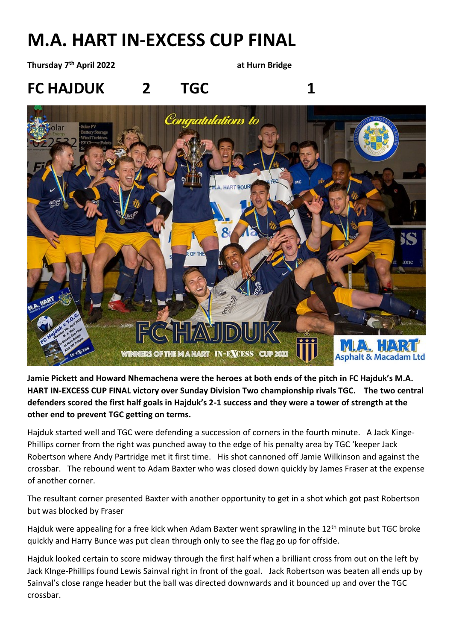## **M.A. HART IN-EXCESS CUP FINAL**

**Thursday 7th April 2022 at Hurn Bridge**

**FC HAJDUK 2 TGC 1**



**Jamie Pickett and Howard Nhemachena were the heroes at both ends of the pitch in FC Hajduk's M.A. HART IN-EXCESS CUP FINAL victory over Sunday Division Two championship rivals TGC. The two central defenders scored the first half goals in Hajduk's 2-1 success and they were a tower of strength at the other end to prevent TGC getting on terms.**

Hajduk started well and TGC were defending a succession of corners in the fourth minute. A Jack Kinge-Phillips corner from the right was punched away to the edge of his penalty area by TGC 'keeper Jack Robertson where Andy Partridge met it first time. His shot cannoned off Jamie Wilkinson and against the crossbar. The rebound went to Adam Baxter who was closed down quickly by James Fraser at the expense of another corner.

The resultant corner presented Baxter with another opportunity to get in a shot which got past Robertson but was blocked by Fraser

Hajduk were appealing for a free kick when Adam Baxter went sprawling in the  $12<sup>th</sup>$  minute but TGC broke quickly and Harry Bunce was put clean through only to see the flag go up for offside.

Hajduk looked certain to score midway through the first half when a brilliant cross from out on the left by Jack KInge-Phillips found Lewis Sainval right in front of the goal. Jack Robertson was beaten all ends up by Sainval's close range header but the ball was directed downwards and it bounced up and over the TGC crossbar.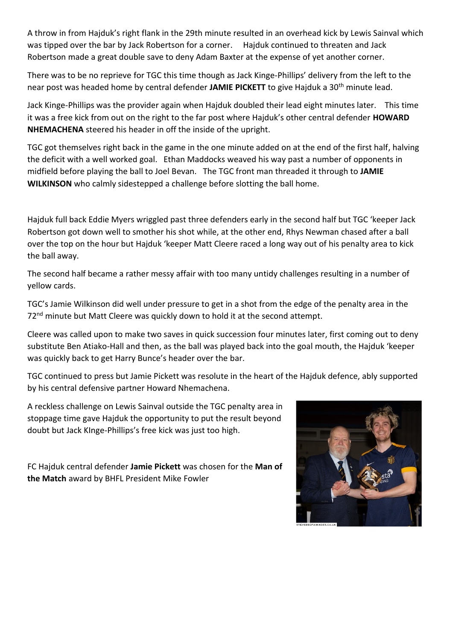A throw in from Hajduk's right flank in the 29th minute resulted in an overhead kick by Lewis Sainval which was tipped over the bar by Jack Robertson for a corner. Hajduk continued to threaten and Jack Robertson made a great double save to deny Adam Baxter at the expense of yet another corner.

There was to be no reprieve for TGC this time though as Jack Kinge-Phillips' delivery from the left to the near post was headed home by central defender **JAMIE PICKETT** to give Hajduk a 30th minute lead.

Jack Kinge-Phillips was the provider again when Hajduk doubled their lead eight minutes later. This time it was a free kick from out on the right to the far post where Hajduk's other central defender **HOWARD NHEMACHENA** steered his header in off the inside of the upright.

TGC got themselves right back in the game in the one minute added on at the end of the first half, halving the deficit with a well worked goal. Ethan Maddocks weaved his way past a number of opponents in midfield before playing the ball to Joel Bevan. The TGC front man threaded it through to **JAMIE WILKINSON** who calmly sidestepped a challenge before slotting the ball home.

Hajduk full back Eddie Myers wriggled past three defenders early in the second half but TGC 'keeper Jack Robertson got down well to smother his shot while, at the other end, Rhys Newman chased after a ball over the top on the hour but Hajduk 'keeper Matt Cleere raced a long way out of his penalty area to kick the ball away.

The second half became a rather messy affair with too many untidy challenges resulting in a number of yellow cards.

TGC's Jamie Wilkinson did well under pressure to get in a shot from the edge of the penalty area in the 72<sup>nd</sup> minute but Matt Cleere was quickly down to hold it at the second attempt.

Cleere was called upon to make two saves in quick succession four minutes later, first coming out to deny substitute Ben Atiako-Hall and then, as the ball was played back into the goal mouth, the Hajduk 'keeper was quickly back to get Harry Bunce's header over the bar.

TGC continued to press but Jamie Pickett was resolute in the heart of the Hajduk defence, ably supported by his central defensive partner Howard Nhemachena.

A reckless challenge on Lewis Sainval outside the TGC penalty area in stoppage time gave Hajduk the opportunity to put the result beyond doubt but Jack KInge-Phillips's free kick was just too high.

FC Hajduk central defender **Jamie Pickett** was chosen for the **Man of the Match** award by BHFL President Mike Fowler

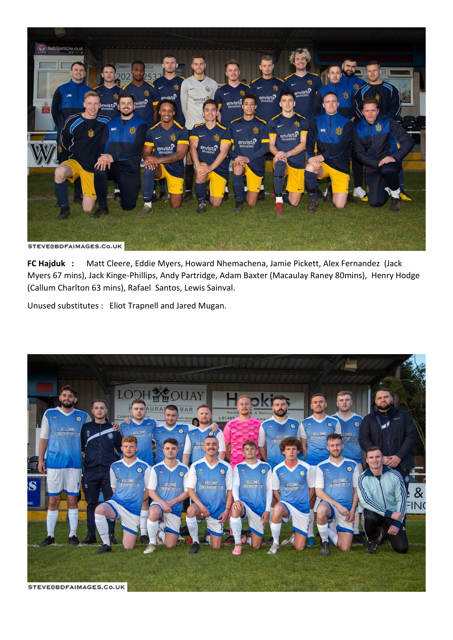

**FC Hajduk :** Matt Cleere, Eddie Myers, Howard Nhemachena, Jamie Pickett, Alex Fernandez (Jack Myers 67 mins), Jack Kinge-Phillips, Andy Partridge, Adam Baxter (Macaulay Raney 80mins), Henry Hodge (Callum Charlton 63 mins), Rafael Santos, Lewis Sainval.

Unused substitutes : Eliot Trapnell and Jared Mugan.